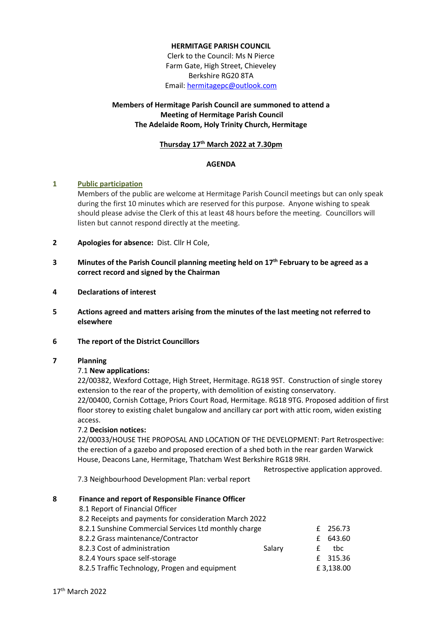### **HERMITAGE PARISH COUNCIL**

Clerk to the Council: Ms N Pierce Farm Gate, High Street, Chieveley Berkshire RG20 8TA Email[: hermitagepc@outlook.com](mailto:hermitagepc@outlook.com)

# **Members of Hermitage Parish Council are summoned to attend a Meeting of Hermitage Parish Council The Adelaide Room, Holy Trinity Church, Hermitage**

# **Thursday 17th March 2022 at 7.30pm**

### **AGENDA**

### **1 Public participation**

Members of the public are welcome at Hermitage Parish Council meetings but can only speak during the first 10 minutes which are reserved for this purpose. Anyone wishing to speak should please advise the Clerk of this at least 48 hours before the meeting. Councillors will listen but cannot respond directly at the meeting.

- **2 Apologies for absence:** Dist. Cllr H Cole,
- **3 Minutes of the Parish Council planning meeting held on 17th February to be agreed as a correct record and signed by the Chairman**
- **4 Declarations of interest**
- **5 Actions agreed and matters arising from the minutes of the last meeting not referred to elsewhere**
- **6 The report of the District Councillors**

# **7 Planning**

### 7.1 **New applications:**

22/00382, Wexford Cottage, High Street, Hermitage. RG18 9ST. Construction of single storey extension to the rear of the property, with demolition of existing conservatory. 22/00400, Cornish Cottage, Priors Court Road, Hermitage. RG18 9TG. Proposed addition of first floor storey to existing chalet bungalow and ancillary car port with attic room, widen existing access.

### 7.2 **Decision notices:**

22/00033/HOUSE THE PROPOSAL AND LOCATION OF THE DEVELOPMENT: Part Retrospective: the erection of a gazebo and proposed erection of a shed both in the rear garden Warwick House, Deacons Lane, Hermitage, Thatcham West Berkshire RG18 9RH.

Retrospective application approved.

7.3 Neighbourhood Development Plan: verbal report

### **8 Finance and report of Responsible Finance Officer**

| 8.1 Report of Financial Officer                        |        |   |           |
|--------------------------------------------------------|--------|---|-----------|
| 8.2 Receipts and payments for consideration March 2022 |        |   |           |
| 8.2.1 Sunshine Commercial Services Ltd monthly charge  |        |   | £ 256.73  |
| 8.2.2 Grass maintenance/Contractor                     |        |   | £ 643.60  |
| 8.2.3 Cost of administration                           | Salary | f | tbc       |
| 8.2.4 Yours space self-storage                         |        |   | £ 315.36  |
| 8.2.5 Traffic Technology, Progen and equipment         |        |   | £3,138.00 |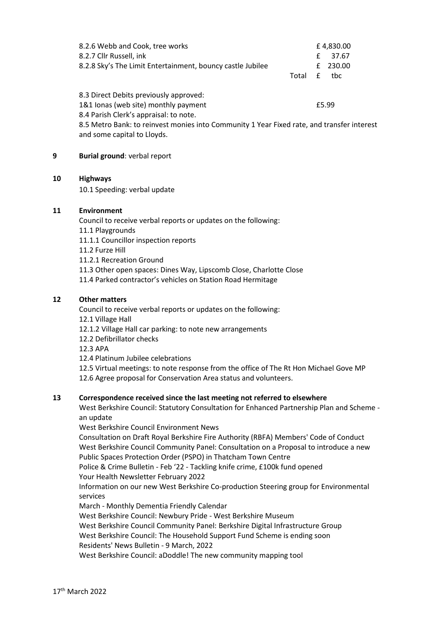| 8.2.6 Webb and Cook, tree works                                                                                           |       | £4,830.00   |
|---------------------------------------------------------------------------------------------------------------------------|-------|-------------|
| 8.2.7 Cllr Russell, ink                                                                                                   |       | 37.67<br>£  |
| 8.2.8 Sky's The Limit Entertainment, bouncy castle Jubilee                                                                |       | 230.00<br>£ |
|                                                                                                                           | Total | f<br>tbc    |
| 8.3 Direct Debits previously approved:                                                                                    |       |             |
| 1&1 Ionas (web site) monthly payment                                                                                      | £5.99 |             |
| 8.4 Parish Clerk's appraisal: to note.                                                                                    |       |             |
| 8.5 Metro Bank: to reinvest monies into Community 1 Year Fixed rate, and transfer interest<br>and some capital to Lloyds. |       |             |

### **9 Burial ground**: verbal report

### **10 Highways**

10.1 Speeding: verbal update

### **11 Environment**

Council to receive verbal reports or updates on the following:

- 11.1 Playgrounds
- 11.1.1 Councillor inspection reports
- 11.2 Furze Hill
- 11.2.1 Recreation Ground
- 11.3 Other open spaces: Dines Way, Lipscomb Close, Charlotte Close
- 11.4 Parked contractor's vehicles on Station Road Hermitage

### **12 Other matters**

Council to receive verbal reports or updates on the following:

12.1 Village Hall

12.1.2 Village Hall car parking: to note new arrangements

12.2 Defibrillator checks

12.3 APA

12.4 Platinum Jubilee celebrations

12.5 Virtual meetings: to note response from the office of The Rt Hon Michael Gove MP 12.6 Agree proposal for Conservation Area status and volunteers.

### **13 Correspondence received since the last meeting not referred to elsewhere**

West Berkshire Council: Statutory Consultation for Enhanced Partnership Plan and Scheme an update

West Berkshire Council Environment News

Consultation on Draft Royal Berkshire Fire Authority (RBFA) Members' Code of Conduct West Berkshire Council Community Panel: Consultation on a Proposal to introduce a new Public Spaces Protection Order (PSPO) in Thatcham Town Centre

Police & Crime Bulletin - Feb '22 - Tackling knife crime, £100k fund opened Your Health Newsletter February 2022

Information on our new West Berkshire Co-production Steering group for Environmental services

March - Monthly Dementia Friendly Calendar

West Berkshire Council: Newbury Pride - West Berkshire Museum

West Berkshire Council Community Panel: Berkshire Digital Infrastructure Group

West Berkshire Council: The Household Support Fund Scheme is ending soon

Residents' News Bulletin - 9 March, 2022

West Berkshire Council: aDoddle! The new community mapping tool